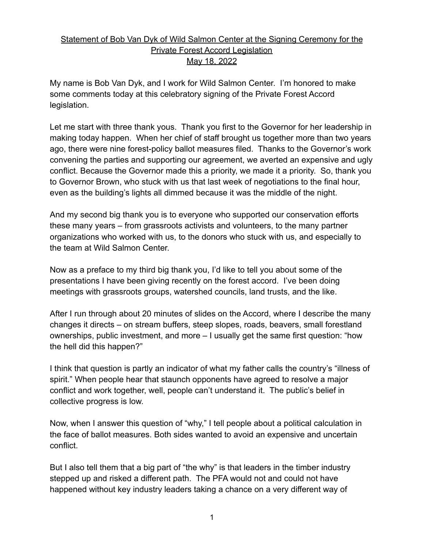## Statement of Bob Van Dyk of Wild Salmon Center at the Signing Ceremony for the Private Forest Accord Legislation May 18, 2022

My name is Bob Van Dyk, and I work for Wild Salmon Center. I'm honored to make some comments today at this celebratory signing of the Private Forest Accord legislation.

Let me start with three thank yous. Thank you first to the Governor for her leadership in making today happen. When her chief of staff brought us together more than two years ago, there were nine forest-policy ballot measures filed. Thanks to the Governor's work convening the parties and supporting our agreement, we averted an expensive and ugly conflict. Because the Governor made this a priority, we made it a priority. So, thank you to Governor Brown, who stuck with us that last week of negotiations to the final hour, even as the building's lights all dimmed because it was the middle of the night.

And my second big thank you is to everyone who supported our conservation efforts these many years – from grassroots activists and volunteers, to the many partner organizations who worked with us, to the donors who stuck with us, and especially to the team at Wild Salmon Center.

Now as a preface to my third big thank you, I'd like to tell you about some of the presentations I have been giving recently on the forest accord. I've been doing meetings with grassroots groups, watershed councils, land trusts, and the like.

After I run through about 20 minutes of slides on the Accord, where I describe the many changes it directs – on stream buffers, steep slopes, roads, beavers, small forestland ownerships, public investment, and more – I usually get the same first question: "how the hell did this happen?"

I think that question is partly an indicator of what my father calls the country's "illness of spirit." When people hear that staunch opponents have agreed to resolve a major conflict and work together, well, people can't understand it. The public's belief in collective progress is low.

Now, when I answer this question of "why," I tell people about a political calculation in the face of ballot measures. Both sides wanted to avoid an expensive and uncertain conflict.

But I also tell them that a big part of "the why" is that leaders in the timber industry stepped up and risked a different path. The PFA would not and could not have happened without key industry leaders taking a chance on a very different way of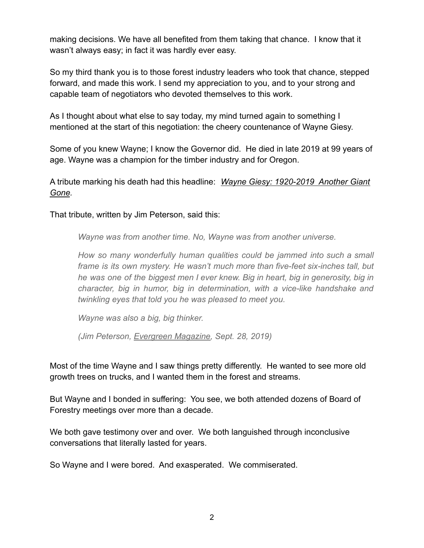making decisions. We have all benefited from them taking that chance. I know that it wasn't always easy; in fact it was hardly ever easy.

So my third thank you is to those forest industry leaders who took that chance, stepped forward, and made this work. I send my appreciation to you, and to your strong and capable team of negotiators who devoted themselves to this work.

As I thought about what else to say today, my mind turned again to something I mentioned at the start of this negotiation: the cheery countenance of Wayne Giesy.

Some of you knew Wayne; I know the Governor did. He died in late 2019 at 99 years of age. Wayne was a champion for the timber industry and for Oregon.

A tribute marking his death had this headline: *Wayne Giesy: 1920-2019 Another Giant Gone.*

That tribute, written by Jim Peterson, said this:

*Wayne was from another time. No, Wayne was from another universe.*

*How so many wonderfully human qualities could be jammed into such a small frame is its own mystery. He wasn't much more than five-feet six-inches tall, but he was one of the biggest men I ever knew. Big in heart, big in generosity, big in character, big in humor, big in determination, with a vice-like handshake and twinkling eyes that told you he was pleased to meet you.*

*Wayne was also a big, big thinker.*

*(Jim Peterson, Evergreen Magazine, Sept. 28, 2019)*

Most of the time Wayne and I saw things pretty differently. He wanted to see more old growth trees on trucks, and I wanted them in the forest and streams.

But Wayne and I bonded in suffering: You see, we both attended dozens of Board of Forestry meetings over more than a decade.

We both gave testimony over and over. We both languished through inconclusive conversations that literally lasted for years.

So Wayne and I were bored. And exasperated. We commiserated.